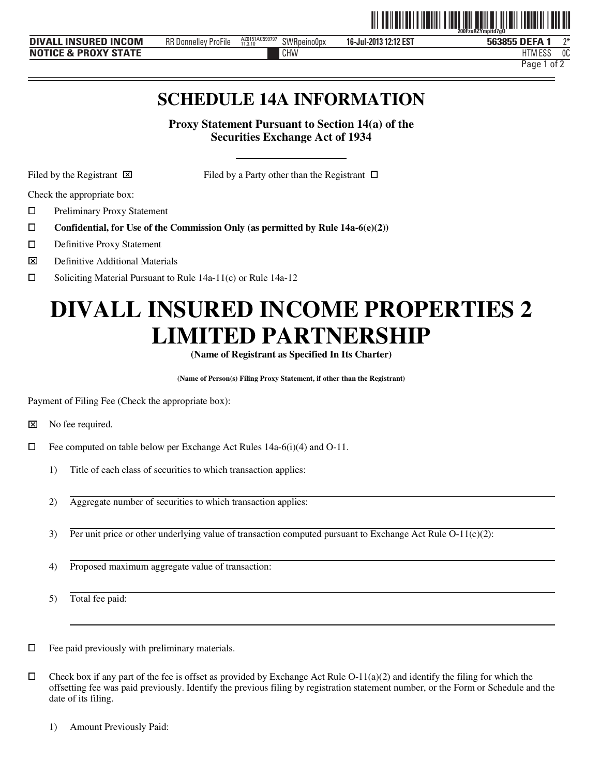|                                                |                                                 |                           |                    |                            | ----------------------<br>200FzeRZYmpitd7a0 |          |
|------------------------------------------------|-------------------------------------------------|---------------------------|--------------------|----------------------------|---------------------------------------------|----------|
| <b>INCOM</b><br><b>INSURED</b><br><b>DIVAL</b> | RR D<br>$-1$<br><b>ProFile</b><br>. Donnellev ' | AZ0151AC599797<br>11.3.10 | <b>SWRpeinoOpx</b> | 3 12:12 EST<br>16-Jul-2013 | <b>DEFA</b><br>563855<br>5b                 | $\gamma$ |
| <b>PROXY STATE</b><br><b>NOT</b><br>`E &       |                                                 |                           | CHW                |                            | 1.500<br>1.1777<br>'Luu                     | 0C       |

Page 1 of 2

<u>oli od indijeli od najprosti od između u predstavanju u od na</u>

# **SCHEDULE 14A INFORMATION**

**Proxy Statement Pursuant to Section 14(a) of the Securities Exchange Act of 1934** 

j

Filed by the Registrant  $\boxtimes$  Filed by a Party other than the Registrant  $\Box$ 

Check the appropriate box:

ם<br>ם Preliminary Proxy Statement

- **Confidential, for Use of the Commission Only (as permitted by Rule 14a-6(e)(2))**
- $\Box$ Definitive Proxy Statement
- $\overline{\mathbf{x}}$  $\boxtimes$  Definitive Additional Materials<br> $\square$  Soliciting Material Pursuant to
- Soliciting Material Pursuant to Rule 14a-11(c) or Rule 14a-12

# **DIVALL INSURED INCOME PROPERTIES 2 LIMITED PARTNERSHIP**

**(Name of Registrant as Specified In Its Charter)** 

**(Name of Person(s) Filing Proxy Statement, if other than the Registrant)** 

Payment of Filing Fee (Check the appropriate box):

⌧ No fee required.

- $\Box$  Fee computed on table below per Exchange Act Rules 14a-6(i)(4) and O-11.
	- 1) Title of each class of securities to which transaction applies:
	- 2) Aggregate number of securities to which transaction applies:
	- 3) Per unit price or other underlying value of transaction computed pursuant to Exchange Act Rule  $O-11(c)(2)$ :
	- 4) Proposed maximum aggregate value of transaction:

5) Total fee paid:

 $\Box$  Fee paid previously with preliminary materials.

 $\Box$  Check box if any part of the fee is offset as provided by Exchange Act Rule O-11(a)(2) and identify the filing for which the offsetting fee was paid previously. Identify the previous filing by registration statement number, or the Form or Schedule and the date of its filing.

1) Amount Previously Paid: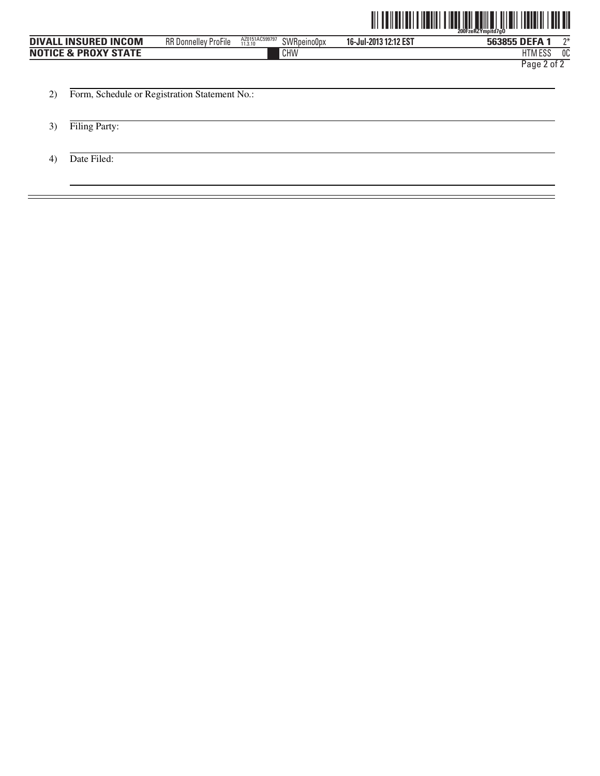

|                                 |                                               |                                          |                       | HIII<br><u> III AAN ALAH KUNINI AHAAN AND AHAAN</u><br>IIIIIII<br>200FzeRZYmpitd7g0 |
|---------------------------------|-----------------------------------------------|------------------------------------------|-----------------------|-------------------------------------------------------------------------------------|
| <b>DIVALL INSURED INCOM</b>     | <b>RR Donnelley ProFile</b>                   | AZ0151AC599797<br>SWRpeino0px<br>11.3.10 | 16-Jul-2013 12:12 EST | $2^*$<br>563855 DEFA 1                                                              |
| <b>NOTICE &amp; PROXY STATE</b> |                                               | CHW                                      |                       | 0C<br><b>HTM ESS</b>                                                                |
|                                 |                                               |                                          |                       | Page 2 of 2                                                                         |
|                                 |                                               |                                          |                       |                                                                                     |
|                                 | Form, Schedule or Registration Statement No.: |                                          |                       |                                                                                     |

- 3) Filing Party:
- 4) Date Filed: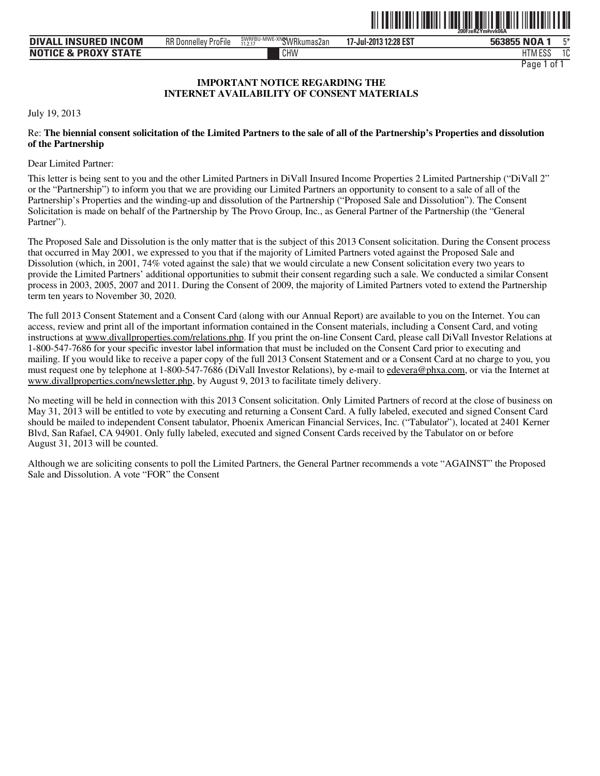

| <b>DIVALL INSURED INCOM</b>     | $-\cdot$ .<br>RR D<br>ProFile<br>. Donnellev i | 1-MWE-XN <b>GWRkumas2an</b><br>SWRFBU<br>11.2.17 | 7-Jul-2013 12:28 EST<br>$\sim$ | Б*<br>563855 NOA       |
|---------------------------------|------------------------------------------------|--------------------------------------------------|--------------------------------|------------------------|
| <b>NOTICE &amp; PROXY STATE</b> |                                                | CHW                                              |                                | r o c<br>10<br>HIM ESJ |
|                                 |                                                |                                                  |                                | Paqe<br>0t             |

#### **IMPORTANT NOTICE REGARDING THE INTERNET AVAILABILITY OF CONSENT MATERIALS**

July 19, 2013

#### Re: **The biennial consent solicitation of the Limited Partners to the sale of all of the Partnership's Properties and dissolution of the Partnership**

Dear Limited Partner:

This letter is being sent to you and the other Limited Partners in DiVall Insured Income Properties 2 Limited Partnership ("DiVall 2" or the "Partnership") to inform you that we are providing our Limited Partners an opportunity to consent to a sale of all of the Partnership's Properties and the winding-up and dissolution of the Partnership ("Proposed Sale and Dissolution"). The Consent Solicitation is made on behalf of the Partnership by The Provo Group, Inc., as General Partner of the Partnership (the "General Partner").

The Proposed Sale and Dissolution is the only matter that is the subject of this 2013 Consent solicitation. During the Consent process that occurred in May 2001, we expressed to you that if the majority of Limited Partners voted against the Proposed Sale and Dissolution (which, in 2001, 74% voted against the sale) that we would circulate a new Consent solicitation every two years to provide the Limited Partners' additional opportunities to submit their consent regarding such a sale. We conducted a similar Consent process in 2003, 2005, 2007 and 2011. During the Consent of 2009, the majority of Limited Partners voted to extend the Partnership term ten years to November 30, 2020.

The full 2013 Consent Statement and a Consent Card (along with our Annual Report) are available to you on the Internet. You can access, review and print all of the important information contained in the Consent materials, including a Consent Card, and voting instructions at www.divallproperties.com/relations.php. If you print the on-line Consent Card, please call DiVall Investor Relations at 1-800-547-7686 for your specific investor label information that must be included on the Consent Card prior to executing and mailing. If you would like to receive a paper copy of the full 2013 Consent Statement and or a Consent Card at no charge to you, you must request one by telephone at 1-800-547-7686 (DiVall Investor Relations), by e-mail to edevera@phxa.com, or via the Internet at www.divallproperties.com/newsletter.php, by August 9, 2013 to facilitate timely delivery.

No meeting will be held in connection with this 2013 Consent solicitation. Only Limited Partners of record at the close of business on May 31, 2013 will be entitled to vote by executing and returning a Consent Card. A fully labeled, executed and signed Consent Card should be mailed to independent Consent tabulator, Phoenix American Financial Services, Inc. ("Tabulator"), located at 2401 Kerner Blvd, San Rafael, CA 94901. Only fully labeled, executed and signed Consent Cards received by the Tabulator on or before August 31, 2013 will be counted.

Although we are soliciting consents to poll the Limited Partners, the General Partner recommends a vote "AGAINST" the Proposed Sale and Dissolution. A vote "FOR" the Consent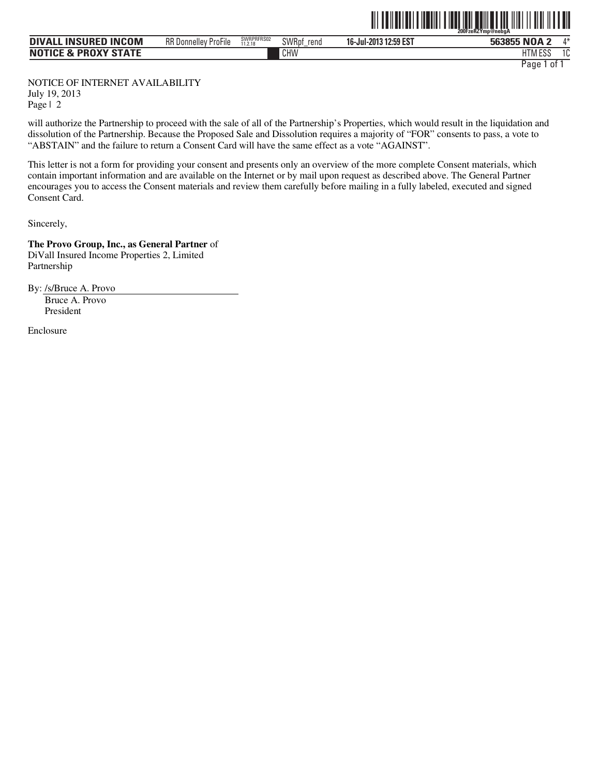|                                 |                             |                       |               | <u> III IIII IIII IIIIII</u> | <u> I III III IIII III III</u><br><u>HII II II III</u><br>200FzeRZYmp@nebaA |
|---------------------------------|-----------------------------|-----------------------|---------------|------------------------------|-----------------------------------------------------------------------------|
| <b>DIVALL INSURED INCOM</b>     | <b>RR Donnelley ProFile</b> | SWRPRFRS02<br>11.2.18 | SWRpf<br>rend | 16-Jul-2013 12:59 EST        | 563855 NOA 2<br>л*                                                          |
| <b>NOTICE &amp; PROXY STATE</b> |                             |                       | CHW           |                              | <b>HTM ESS</b><br>10                                                        |

Page 1 of 1

NOTICE OF INTERNET AVAILABILITY July 19, 2013 Page | 2

will authorize the Partnership to proceed with the sale of all of the Partnership's Properties, which would result in the liquidation and dissolution of the Partnership. Because the Proposed Sale and Dissolution requires a majority of "FOR" consents to pass, a vote to "ABSTAIN" and the failure to return a Consent Card will have the same effect as a vote "AGAINST".

This letter is not a form for providing your consent and presents only an overview of the more complete Consent materials, which contain important information and are available on the Internet or by mail upon request as described above. The General Partner encourages you to access the Consent materials and review them carefully before mailing in a fully labeled, executed and signed Consent Card.

Sincerely,

**The Provo Group, Inc., as General Partner** of DiVall Insured Income Properties 2, Limited Partnership

By: /s/Bruce A. Provo

Bruce A. Provo President

Enclosure